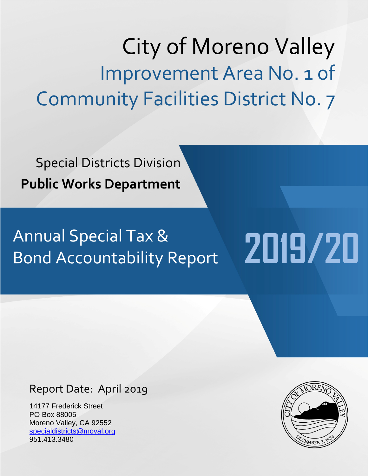City of Moreno Valley Improvement Area No. 1 of Community Facilities District No. 7

Special Districts Division **Public Works Department**

# Annual Special Tax &<br>Rond Accountability Report 2019/20 Bond Accountability Report

## Report Date: April 2019

14177 Frederick Street PO Box 88005 Moreno Valley, CA 92552 [specialdistricts@moval.org](mailto:specialdistricts@moval.org) 951.413.3480

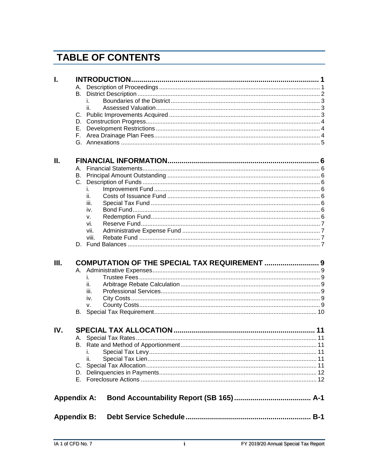## **TABLE OF CONTENTS**

| I.                 |    |           |                                               |  |
|--------------------|----|-----------|-----------------------------------------------|--|
|                    |    |           |                                               |  |
|                    | В. |           |                                               |  |
|                    |    |           |                                               |  |
|                    |    | ii.       |                                               |  |
|                    |    |           |                                               |  |
|                    |    |           |                                               |  |
|                    |    |           |                                               |  |
|                    |    |           |                                               |  |
|                    |    |           |                                               |  |
| П.                 |    |           |                                               |  |
|                    |    |           |                                               |  |
|                    |    |           |                                               |  |
|                    |    |           |                                               |  |
|                    |    | i.        |                                               |  |
|                    |    | ii.       |                                               |  |
|                    |    | iii.      |                                               |  |
|                    |    | iv.       |                                               |  |
|                    |    |           |                                               |  |
|                    |    | v.<br>vi. |                                               |  |
|                    |    | vii.      |                                               |  |
|                    |    | viii.     |                                               |  |
|                    |    |           |                                               |  |
|                    |    |           |                                               |  |
| Ш.                 |    |           | COMPUTATION OF THE SPECIAL TAX REQUIREMENT  9 |  |
|                    |    |           |                                               |  |
|                    |    | i.        |                                               |  |
|                    |    | ii.       |                                               |  |
|                    |    | iii.      |                                               |  |
|                    |    | iv.       |                                               |  |
|                    |    | v.        |                                               |  |
|                    |    |           |                                               |  |
| IV.                |    |           |                                               |  |
|                    |    |           |                                               |  |
|                    |    |           |                                               |  |
|                    |    | ı.        |                                               |  |
|                    |    | ii.       |                                               |  |
|                    |    |           |                                               |  |
|                    |    |           |                                               |  |
|                    |    |           |                                               |  |
| <b>Appendix A:</b> |    |           |                                               |  |
| <b>Appendix B:</b> |    |           |                                               |  |
|                    |    |           |                                               |  |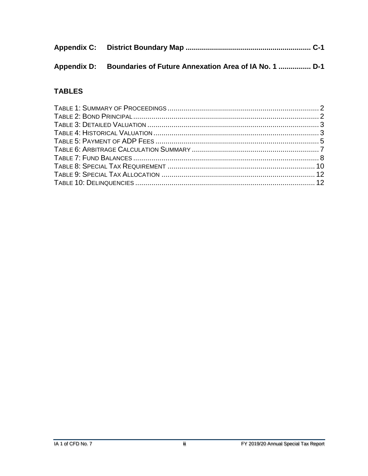| Appendix D: Boundaries of Future Annexation Area of IA No. 1  D-1 |
|-------------------------------------------------------------------|

### **TABLES**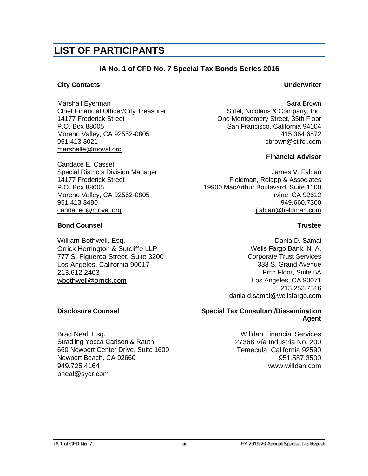## **LIST OF PARTICIPANTS**

#### **IA No. 1 of CFD No. 7 Special Tax Bonds Series 2016**

#### **City Contacts Underwriter**

Marshall Eyerman Sara Brown Sara Brown Sara Brown Sara Brown Sara Brown Sara Brown Chief Financial Officer/City Treasurer Stifel, Nicolaus & Company, Inc.<br>14177 Frederick Street Street Cone Montaomery Street. 35th Floor P.O. Box 88005 San Francisco, California 94104 Moreno Valley, CA 92552-0805 **415.364.6872** 951.413.3021 [sbrown@stifel.com](mailto:sbrown@stifel.com) [marshalle@moval.org](mailto:richardt@moval.org)

Candace E. Cassel Moreno Valley, CA 92552-0805

#### **Bond Counsel Trustee**

William Bothwell, Esq. **Dania D. Samai** Dania D. Samai D. Samai Orrick Herrington & Sutcliffe LLP Wells Fargo Bank, N. A. 777 S. Figueroa Street, Suite 3200 Corporate Trust Services Los Angeles, California 90017 213.612.2403 Fifth Floor, Suite 5A [wbothwell@orrick.com](mailto:wbothwell@orrick.com) **Los Angeles, CA 90071** 

One Montgomery Street, 35th Floor

#### **Financial Advisor**

Special Districts Division Manager James V. Fabian 14177 Frederick Street Figure 7 Fieldman, Rolapp & Associates P.O. Box 88005 <br>Moreno Valley, CA 92552-0805 19900 MacArthur Boulevard, Suite 1100 951.413.3480 949.660.7300 [candacec@moval.org](mailto:candacec@moval.org) [jfabian@fieldman.com](mailto:jfabian@fieldman.com)

213.253.7516 [dania.d.samai@wellsfargo.com](mailto:dania.d.samai@wellsfargo.com)

#### **Disclosure Counsel Special Tax Consultant/Dissemination Agent**

Brad Neal, Esq. Willdan Financial Services Stradling Yocca Carlson & Rauth 27368 Vía Industria No. 200 660 Newport Center Drive, Suite 1600 Temecula, California 92590 Newport Beach, CA 92660 951.587.3500 949.725.4164 [www.willdan.com](http://www.willdan.com/) [bneal@sycr.com](mailto:bneal@sycr.com)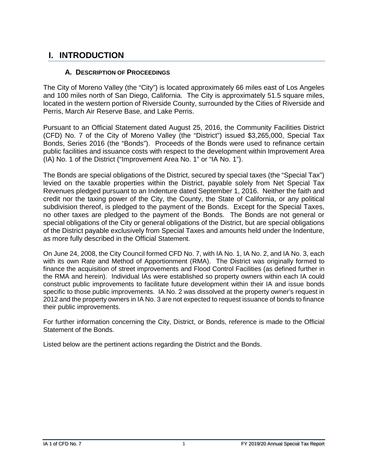## <span id="page-4-0"></span>**I. INTRODUCTION**

#### **A. DESCRIPTION OF PROCEEDINGS**

<span id="page-4-1"></span>The City of Moreno Valley (the "City") is located approximately 66 miles east of Los Angeles and 100 miles north of San Diego, California. The City is approximately 51.5 square miles, located in the western portion of Riverside County, surrounded by the Cities of Riverside and Perris, March Air Reserve Base, and Lake Perris.

Pursuant to an Official Statement dated August 25, 2016, the Community Facilities District (CFD) No. 7 of the City of Moreno Valley (the "District") issued \$3,265,000, Special Tax Bonds, Series 2016 (the "Bonds"). Proceeds of the Bonds were used to refinance certain public facilities and issuance costs with respect to the development within Improvement Area (IA) No. 1 of the District ("Improvement Area No. 1" or "IA No. 1").

The Bonds are special obligations of the District, secured by special taxes (the "Special Tax") levied on the taxable properties within the District, payable solely from Net Special Tax Revenues pledged pursuant to an Indenture dated September 1, 2016. Neither the faith and credit nor the taxing power of the City, the County, the State of California, or any political subdivision thereof, is pledged to the payment of the Bonds. Except for the Special Taxes, no other taxes are pledged to the payment of the Bonds. The Bonds are not general or special obligations of the City or general obligations of the District, but are special obligations of the District payable exclusively from Special Taxes and amounts held under the Indenture, as more fully described in the Official Statement.

On June 24, 2008, the City Council formed CFD No. 7, with IA No. 1, IA No. 2, and IA No. 3, each with its own Rate and Method of Apportionment (RMA). The District was originally formed to finance the acquisition of street improvements and Flood Control Facilities (as defined further in the RMA and herein). Individual IAs were established so property owners within each IA could construct public improvements to facilitate future development within their IA and issue bonds specific to those public improvements. IA No. 2 was dissolved at the property owner's request in 2012 and the property owners in IA No. 3 are not expected to request issuance of bonds to finance their public improvements.

For further information concerning the City, District, or Bonds, reference is made to the Official Statement of the Bonds.

Listed below are the pertinent actions regarding the District and the Bonds.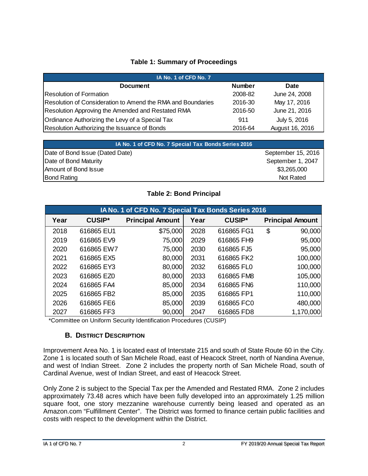#### **Table 1: Summary of Proceedings**

<span id="page-5-1"></span>

| IA No. 1 of CFD No. 7                                       |               |                 |  |  |  |  |
|-------------------------------------------------------------|---------------|-----------------|--|--|--|--|
| <b>Document</b>                                             | <b>Number</b> | <b>Date</b>     |  |  |  |  |
| IResolution of Formation                                    | 2008-82       | June 24, 2008   |  |  |  |  |
| Resolution of Consideration to Amend the RMA and Boundaries | 2016-30       | May 17, 2016    |  |  |  |  |
| Resolution Approving the Amended and Restated RMA           | 2016-50       | June 21, 2016   |  |  |  |  |
| Ordinance Authorizing the Levy of a Special Tax             | 911           | July 5, 2016    |  |  |  |  |
| Resolution Authorizing the Issuance of Bonds                | 2016-64       | August 16, 2016 |  |  |  |  |

| IA No. 1 of CFD No. 7 Special Tax Bonds Series 2016 |                    |
|-----------------------------------------------------|--------------------|
| Date of Bond Issue (Dated Date)                     | September 15, 2016 |
| Date of Bond Maturity                               | September 1, 2047  |
| Amount of Bond Issue                                | \$3,265,000        |
| <b>Bond Rating</b>                                  | Not Rated          |

#### **Table 2: Bond Principal**

<span id="page-5-2"></span>

| IA No. 1 of CFD No. 7 Special Tax Bonds Series 2016 |               |                         |      |               |    |                         |  |  |
|-----------------------------------------------------|---------------|-------------------------|------|---------------|----|-------------------------|--|--|
| Year                                                | <b>CUSIP*</b> | <b>Principal Amount</b> | Year | <b>CUSIP*</b> |    | <b>Principal Amount</b> |  |  |
| 2018                                                | 616865 EU1    | \$75,000                | 2028 | 616865 FG1    | \$ | 90,000                  |  |  |
| 2019                                                | 616865 EV9    | 75,000                  | 2029 | 616865 FH9    |    | 95,000                  |  |  |
| 2020                                                | 616865 EW7    | 75,000                  | 2030 | 616865 FJ5    |    | 95,000                  |  |  |
| 2021                                                | 616865 EX5    | 80,000                  | 2031 | 616865 FK2    |    | 100,000                 |  |  |
| 2022                                                | 616865 EY3    | 80,000                  | 2032 | 616865 FL0    |    | 100,000                 |  |  |
| 2023                                                | 616865 EZ0    | 80,000                  | 2033 | 616865 FM8    |    | 105,000                 |  |  |
| 2024                                                | 616865 FA4    | 85,000                  | 2034 | 616865 FN6    |    | 110,000                 |  |  |
| 2025                                                | 616865 FB2    | 85,000                  | 2035 | 616865 FP1    |    | 110,000                 |  |  |
| 2026                                                | 616865 FE6    | 85,000                  | 2039 | 616865 FC0    |    | 480,000                 |  |  |
| 2027                                                | 616865 FF3    | 90,000                  | 2047 | 616865 FD8    |    | 1,170,000               |  |  |

<span id="page-5-0"></span>\*Committee on Uniform Security Identification Procedures (CUSIP)

#### **B. DISTRICT DESCRIPTION**

Improvement Area No. 1 is located east of Interstate 215 and south of State Route 60 in the City. Zone 1 is located south of San Michele Road, east of Heacock Street, north of Nandina Avenue, and west of Indian Street. Zone 2 includes the property north of San Michele Road, south of Cardinal Avenue, west of Indian Street, and east of Heacock Street.

Only Zone 2 is subject to the Special Tax per the Amended and Restated RMA. Zone 2 includes approximately 73.48 acres which have been fully developed into an approximately 1.25 million square foot, one story mezzanine warehouse currently being leased and operated as an Amazon.com "Fulfillment Center". The District was formed to finance certain public facilities and costs with respect to the development within the District.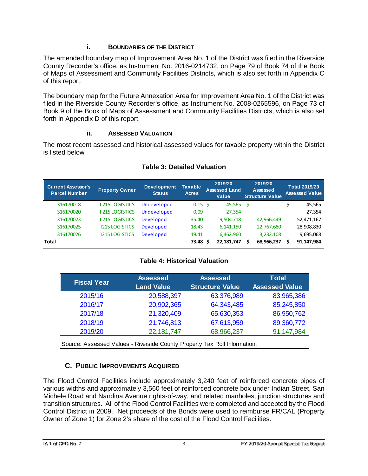#### **i. BOUNDARIES OF THE DISTRICT**

<span id="page-6-0"></span>The amended boundary map of Improvement Area No. 1 of the District was filed in the Riverside County Recorder's office, as Instrument No. 2016-0214732, on Page 79 of Book 74 of the Book of Maps of Assessment and Community Facilities Districts, which is also set forth in Appendix C of this report.

The boundary map for the Future Annexation Area for Improvement Area No. 1 of the District was filed in the Riverside County Recorder's office, as Instrument No. 2008-0265596, on Page 73 of Book 9 of the Book of Maps of Assessment and Community Facilities Districts, which is also set forth in Appendix D of this report.

#### **ii. ASSESSED VALUATION**

<span id="page-6-1"></span>The most recent assessed and historical assessed values for taxable property within the District is listed below

<span id="page-6-3"></span>

| <b>Current Assessor's</b><br><b>Parcel Number</b> | <b>Property Owner</b> | <b>Development</b><br><b>Status</b> | <b>Taxable</b><br><b>Acres</b> | 2019/20<br><b>Assessed Land</b><br><b>Value</b> |   | 2019/20<br>Assessed<br><b>Structure Value</b> | <b>Total 2019/20</b><br><b>Assessed Value</b> |
|---------------------------------------------------|-----------------------|-------------------------------------|--------------------------------|-------------------------------------------------|---|-----------------------------------------------|-----------------------------------------------|
| 316170018                                         | 215 LOGISTICS         | Undeveloped                         | $0.15 \,$ \$                   | 45,565                                          | S | ٠                                             | 45,565                                        |
| 316170020                                         | 215 LOGISTICS         | Undeveloped                         | 0.09                           | 27,354                                          |   | -                                             | 27,354                                        |
| 316170023                                         | 215 LOGISTICS         | <b>Developed</b>                    | 35.40                          | 9,504,718                                       |   | 42,966,449                                    | 52,471,167                                    |
| 316170025                                         | <b>1215 LOGISTICS</b> | <b>Developed</b>                    | 18.43                          | 6, 141, 150                                     |   | 22,767,680                                    | 28,908,830                                    |
| 316170026                                         | <b>1215 LOGISTICS</b> | <b>Developed</b>                    | 19.41                          | 6,462,960                                       |   | 3,232,108                                     | 9,695,068                                     |
| <b>Total</b>                                      |                       |                                     | 73.48 S                        | 22,181,747                                      | S | 68,966,237                                    | 91,147,984                                    |

#### **Table 3: Detailed Valuation**

#### **Table 4: Historical Valuation**

<span id="page-6-4"></span>

| <b>Fiscal Year</b> | Assessed          | <b>Assessed</b>        | <b>Total</b>          |  |  |
|--------------------|-------------------|------------------------|-----------------------|--|--|
|                    | <b>Land Value</b> | <b>Structure Value</b> | <b>Assessed Value</b> |  |  |
| 2015/16            | 20,588,397        | 63,376,989             | 83,965,386            |  |  |
| 2016/17            | 20,902,365        | 64,343,485             | 85,245,850            |  |  |
| 2017/18            | 21,320,409        | 65,630,353             | 86,950,762            |  |  |
| 2018/19            | 21,746,813        | 67,613,959             | 89,360,772            |  |  |
| 2019/20            | 22,181,747        | 68,966,237             | 91,147,984            |  |  |

Source: Assessed Values - Riverside County Property Tax Roll Information.

#### **C. PUBLIC IMPROVEMENTS ACQUIRED**

<span id="page-6-2"></span>The Flood Control Facilities include approximately 3,240 feet of reinforced concrete pipes of various widths and approximately 3,560 feet of reinforced concrete box under Indian Street, San Michele Road and Nandina Avenue rights-of-way, and related manholes, junction structures and transition structures. All of the Flood Control Facilities were completed and accepted by the Flood Control District in 2009. Net proceeds of the Bonds were used to reimburse FR/CAL (Property Owner of Zone 1) for Zone 2's share of the cost of the Flood Control Facilities.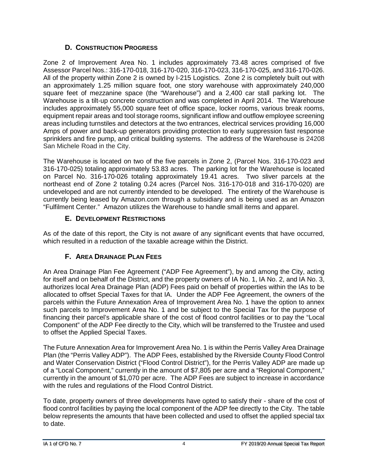#### **D. CONSTRUCTION PROGRESS**

<span id="page-7-0"></span>Zone 2 of Improvement Area No. 1 includes approximately 73.48 acres comprised of five Assessor Parcel Nos.: 316-170-018, 316-170-020, 316-170-023, 316-170-025, and 316-170-026. All of the property within Zone 2 is owned by I-215 Logistics. Zone 2 is completely built out with an approximately 1.25 million square foot, one story warehouse with approximately 240,000 square feet of mezzanine space (the "Warehouse") and a 2,400 car stall parking lot. The Warehouse is a tilt-up concrete construction and was completed in April 2014. The Warehouse includes approximately 55,000 square feet of office space, locker rooms, various break rooms, equipment repair areas and tool storage rooms, significant inflow and outflow employee screening areas including turnstiles and detectors at the two entrances, electrical services providing 16,000 Amps of power and back-up generators providing protection to early suppression fast response sprinklers and fire pump, and critical building systems. The address of the Warehouse is 24208 San Michele Road in the City.

The Warehouse is located on two of the five parcels in Zone 2, (Parcel Nos. 316-170-023 and 316-170-025) totaling approximately 53.83 acres. The parking lot for the Warehouse is located on Parcel No. 316-170-026 totaling approximately 19.41 acres. Two sliver parcels at the northeast end of Zone 2 totaling 0.24 acres (Parcel Nos. 316-170-018 and 316-170-020) are undeveloped and are not currently intended to be developed. The entirety of the Warehouse is currently being leased by Amazon.com through a subsidiary and is being used as an Amazon "Fulfilment Center." Amazon utilizes the Warehouse to handle small items and apparel.

#### **E. DEVELOPMENT RESTRICTIONS**

<span id="page-7-1"></span>As of the date of this report, the City is not aware of any significant events that have occurred, which resulted in a reduction of the taxable acreage within the District.

#### **F. AREA DRAINAGE PLAN FEES**

<span id="page-7-2"></span>An Area Drainage Plan Fee Agreement ("ADP Fee Agreement"), by and among the City, acting for itself and on behalf of the District, and the property owners of IA No. 1, IA No. 2, and IA No. 3, authorizes local Area Drainage Plan (ADP) Fees paid on behalf of properties within the IAs to be allocated to offset Special Taxes for that IA. Under the ADP Fee Agreement, the owners of the parcels within the Future Annexation Area of Improvement Area No. 1 have the option to annex such parcels to Improvement Area No. 1 and be subject to the Special Tax for the purpose of financing their parcel's applicable share of the cost of flood control facilities or to pay the "Local Component" of the ADP Fee directly to the City, which will be transferred to the Trustee and used to offset the Applied Special Taxes.

The Future Annexation Area for Improvement Area No. 1 is within the Perris Valley Area Drainage Plan (the "Perris Valley ADP"). The ADP Fees, established by the Riverside County Flood Control and Water Conservation District ("Flood Control District"), for the Perris Valley ADP are made up of a "Local Component," currently in the amount of \$7,805 per acre and a "Regional Component," currently in the amount of \$1,070 per acre. The ADP Fees are subject to increase in accordance with the rules and regulations of the Flood Control District.

To date, property owners of three developments have opted to satisfy their - share of the cost of flood control facilities by paying the local component of the ADP fee directly to the City. The table below represents the amounts that have been collected and used to offset the applied special tax to date.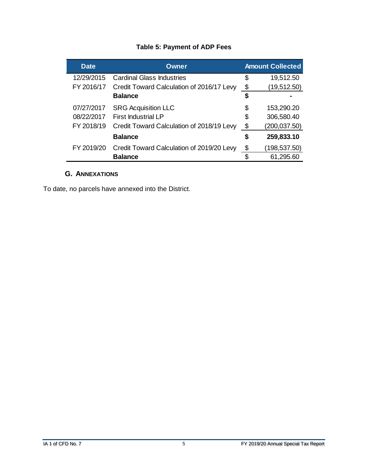#### **Table 5: Payment of ADP Fees**

<span id="page-8-1"></span>

| <b>Date</b> | <b>Owner</b>                              |    | <b>Amount Collected</b> |  |  |  |
|-------------|-------------------------------------------|----|-------------------------|--|--|--|
| 12/29/2015  | <b>Cardinal Glass Industries</b>          | \$ | 19,512.50               |  |  |  |
| FY 2016/17  | Credit Toward Calculation of 2016/17 Levy | \$ | (19, 512.50)            |  |  |  |
|             | <b>Balance</b>                            | S  |                         |  |  |  |
| 07/27/2017  | <b>SRG Acquisition LLC</b>                | \$ | 153,290.20              |  |  |  |
| 08/22/2017  | <b>First Industrial LP</b>                | \$ | 306,580.40              |  |  |  |
| FY 2018/19  | Credit Toward Calculation of 2018/19 Levy | \$ | (200, 037.50)           |  |  |  |
|             | <b>Balance</b>                            | \$ | 259,833.10              |  |  |  |
| FY 2019/20  | Credit Toward Calculation of 2019/20 Levy | \$ | (198,537.50)            |  |  |  |
|             | <b>Balance</b>                            | ß. | 61,295.60               |  |  |  |

#### **G. ANNEXATIONS**

<span id="page-8-0"></span>To date, no parcels have annexed into the District.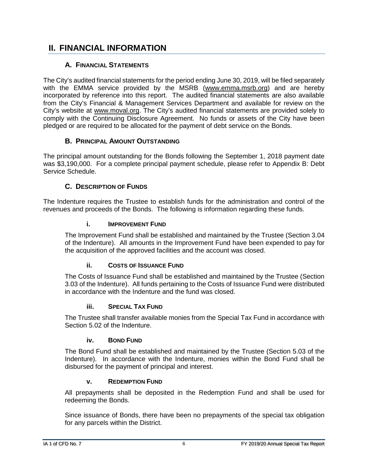### <span id="page-9-0"></span>**II. FINANCIAL INFORMATION**

#### **A. FINANCIAL STATEMENTS**

<span id="page-9-1"></span>The City's audited financial statements for the period ending June 30, 2019, will be filed separately with the EMMA service provided by the MSRB [\(www.emma.msrb.org\)](http://www.emma.msrb.org/) and are hereby incorporated by reference into this report. The audited financial statements are also available from the City's Financial & Management Services Department and available for review on the City's website at [www.m](http://www./)oval.org. The City's audited financial statements are provided solely to comply with the Continuing Disclosure Agreement. No funds or assets of the City have been pledged or are required to be allocated for the payment of debt service on the Bonds.

#### **B. PRINCIPAL AMOUNT OUTSTANDING**

<span id="page-9-2"></span>The principal amount outstanding for the Bonds following the September 1, 2018 payment date was \$3,190,000. For a complete principal payment schedule, please refer to Appendix B: Debt Service Schedule.

#### **C. DESCRIPTION OF FUNDS**

<span id="page-9-4"></span><span id="page-9-3"></span>The Indenture requires the Trustee to establish funds for the administration and control of the revenues and proceeds of the Bonds. The following is information regarding these funds.

#### **i. IMPROVEMENT FUND**

The Improvement Fund shall be established and maintained by the Trustee (Section 3.04 of the Indenture). All amounts in the Improvement Fund have been expended to pay for the acquisition of the approved facilities and the account was closed.

#### **ii. COSTS OF ISSUANCE FUND**

<span id="page-9-5"></span>The Costs of Issuance Fund shall be established and maintained by the Trustee (Section 3.03 of the Indenture). All funds pertaining to the Costs of Issuance Fund were distributed in accordance with the Indenture and the fund was closed.

#### **iii. SPECIAL TAX FUND**

<span id="page-9-6"></span>The Trustee shall transfer available monies from the Special Tax Fund in accordance with Section 5.02 of the Indenture.

#### **iv. BOND FUND**

<span id="page-9-7"></span>The Bond Fund shall be established and maintained by the Trustee (Section 5.03 of the Indenture). In accordance with the Indenture, monies within the Bond Fund shall be disbursed for the payment of principal and interest.

#### **v. REDEMPTION FUND**

<span id="page-9-8"></span>All prepayments shall be deposited in the Redemption Fund and shall be used for redeeming the Bonds.

Since issuance of Bonds, there have been no prepayments of the special tax obligation for any parcels within the District.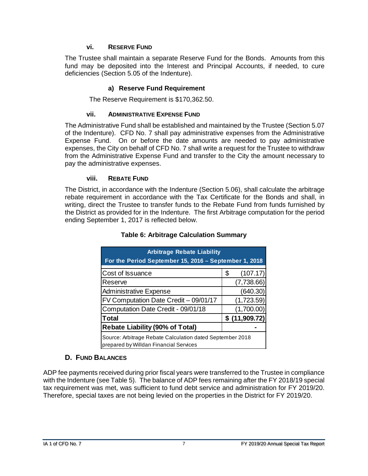#### **vi. RESERVE FUND**

<span id="page-10-0"></span>The Trustee shall maintain a separate Reserve Fund for the Bonds. Amounts from this fund may be deposited into the Interest and Principal Accounts, if needed, to cure deficiencies (Section 5.05 of the Indenture).

#### **a) Reserve Fund Requirement**

The Reserve Requirement is \$170,362.50.

#### **vii. ADMINISTRATIVE EXPENSE FUND**

<span id="page-10-1"></span>The Administrative Fund shall be established and maintained by the Trustee (Section 5.07 of the Indenture). CFD No. 7 shall pay administrative expenses from the Administrative Expense Fund. On or before the date amounts are needed to pay administrative expenses, the City on behalf of CFD No. 7 shall write a request for the Trustee to withdraw from the Administrative Expense Fund and transfer to the City the amount necessary to pay the administrative expenses.

#### **viii. REBATE FUND**

<span id="page-10-4"></span><span id="page-10-2"></span>The District, in accordance with the Indenture (Section 5.06), shall calculate the arbitrage rebate requirement in accordance with the Tax Certificate for the Bonds and shall, in writing, direct the Trustee to transfer funds to the Rebate Fund from funds furnished by the District as provided for in the Indenture. The first Arbitrage computation for the period ending September 1, 2017 is reflected below.

| <b>Arbitrage Rebate Liability</b><br>For the Period September 15, 2016 - September 1, 2018          |                |  |  |  |  |
|-----------------------------------------------------------------------------------------------------|----------------|--|--|--|--|
| Cost of Issuance                                                                                    | (107.17)<br>\$ |  |  |  |  |
| Reserve                                                                                             | (7,738.66)     |  |  |  |  |
| <b>Administrative Expense</b>                                                                       | (640.30)       |  |  |  |  |
| FV Computation Date Credit - 09/01/17                                                               | (1,723.59)     |  |  |  |  |
| Computation Date Credit - 09/01/18                                                                  | (1,700.00)     |  |  |  |  |
| Total                                                                                               | \$(11,909.72)  |  |  |  |  |
| <b>Rebate Liability (90% of Total)</b>                                                              |                |  |  |  |  |
| Source: Arbitrage Rebate Calculation dated September 2018<br>prepared by Willdan Financial Services |                |  |  |  |  |

#### **Table 6: Arbitrage Calculation Summary**

#### **D. FUND BALANCES**

<span id="page-10-3"></span>ADP fee payments received during prior fiscal years were transferred to the Trustee in compliance with the Indenture (see Table 5). The balance of ADP fees remaining after the FY 2018/19 special tax requirement was met, was sufficient to fund debt service and administration for FY 2019/20. Therefore, special taxes are not being levied on the properties in the District for FY 2019/20.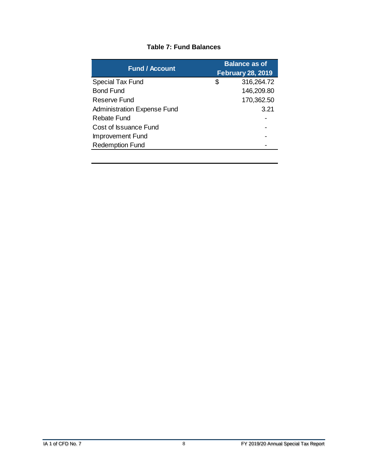<span id="page-11-0"></span>

| <b>Fund / Account</b>              | <b>Balance as of</b><br><b>February 28, 2019</b> |  |  |  |  |
|------------------------------------|--------------------------------------------------|--|--|--|--|
| <b>Special Tax Fund</b>            | \$<br>316,264.72                                 |  |  |  |  |
| <b>Bond Fund</b>                   | 146,209.80                                       |  |  |  |  |
| Reserve Fund                       | 170,362.50                                       |  |  |  |  |
| <b>Administration Expense Fund</b> | 3.21                                             |  |  |  |  |
| <b>Rebate Fund</b>                 |                                                  |  |  |  |  |
| Cost of Issuance Fund              |                                                  |  |  |  |  |
| Improvement Fund                   |                                                  |  |  |  |  |
| <b>Redemption Fund</b>             |                                                  |  |  |  |  |
|                                    |                                                  |  |  |  |  |

#### **Table 7: Fund Balances**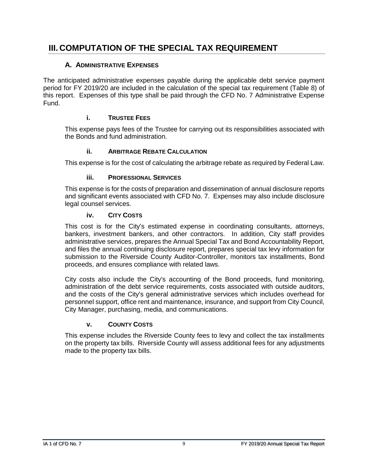## <span id="page-12-0"></span>**III. COMPUTATION OF THE SPECIAL TAX REQUIREMENT**

#### **A. ADMINISTRATIVE EXPENSES**

<span id="page-12-1"></span>The anticipated administrative expenses payable during the applicable debt service payment period for FY 2019/20 are included in the calculation of the special tax requirement (Table 8) of this report. Expenses of this type shall be paid through the CFD No. 7 Administrative Expense Fund.

#### **i. TRUSTEE FEES**

<span id="page-12-2"></span>This expense pays fees of the Trustee for carrying out its responsibilities associated with the Bonds and fund administration.

#### **ii. ARBITRAGE REBATE CALCULATION**

<span id="page-12-3"></span>This expense is for the cost of calculating the arbitrage rebate as required by Federal Law.

#### **iii. PROFESSIONAL SERVICES**

<span id="page-12-4"></span>This expense is for the costs of preparation and dissemination of annual disclosure reports and significant events associated with CFD No. 7. Expenses may also include disclosure legal counsel services.

#### **iv. CITY COSTS**

<span id="page-12-5"></span>This cost is for the City's estimated expense in coordinating consultants, attorneys, bankers, investment bankers, and other contractors. In addition, City staff provides administrative services, prepares the Annual Special Tax and Bond Accountability Report, and files the annual continuing disclosure report, prepares special tax levy information for submission to the Riverside County Auditor-Controller, monitors tax installments, Bond proceeds, and ensures compliance with related laws.

City costs also include the City's accounting of the Bond proceeds, fund monitoring, administration of the debt service requirements, costs associated with outside auditors, and the costs of the City's general administrative services which includes overhead for personnel support, office rent and maintenance, insurance, and support from City Council, City Manager, purchasing, media, and communications.

#### **v. COUNTY COSTS**

<span id="page-12-6"></span>This expense includes the Riverside County fees to levy and collect the tax installments on the property tax bills. Riverside County will assess additional fees for any adjustments made to the property tax bills.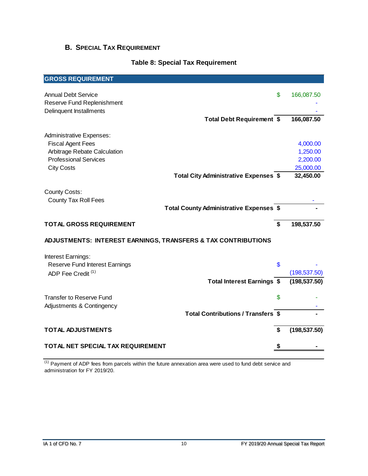#### <span id="page-13-0"></span>**B. SPECIAL TAX REQUIREMENT**

#### **Table 8: Special Tax Requirement**

<span id="page-13-1"></span>

| <b>GROSS REQUIREMENT</b>                                                            |    |                      |
|-------------------------------------------------------------------------------------|----|----------------------|
| <b>Annual Debt Service</b><br>Reserve Fund Replenishment<br>Delinquent Installments | \$ | 166,087.50           |
| <b>Total Debt Requirement \$</b>                                                    |    | 166,087.50           |
| <b>Administrative Expenses:</b>                                                     |    |                      |
| <b>Fiscal Agent Fees</b><br>Arbitrage Rebate Calculation                            |    | 4,000.00<br>1,250.00 |
| <b>Professional Services</b>                                                        |    | 2,200.00             |
| <b>City Costs</b>                                                                   |    | 25,000.00            |
| <b>Total City Administrative Expenses \$</b>                                        |    | 32,450.00            |
| <b>County Costs:</b>                                                                |    |                      |
| <b>County Tax Roll Fees</b>                                                         |    |                      |
| Total County Administrative Expenses \$                                             |    |                      |
| <b>TOTAL GROSS REQUIREMENT</b>                                                      | \$ | 198,537.50           |
| ADJUSTMENTS: INTEREST EARNINGS, TRANSFERS & TAX CONTRIBUTIONS                       |    |                      |
| Interest Earnings:                                                                  |    |                      |
| Reserve Fund Interest Earnings                                                      | \$ |                      |
| ADP Fee Credit <sup>(1)</sup>                                                       |    | (198, 537.50)        |
| <b>Total Interest Earnings \$</b>                                                   |    | (198, 537.50)        |
| <b>Transfer to Reserve Fund</b>                                                     | \$ |                      |
| Adjustments & Contingency                                                           |    |                      |
| <b>Total Contributions / Transfers \$</b>                                           |    |                      |
| <b>TOTAL ADJUSTMENTS</b>                                                            | \$ | (198, 537.50)        |
| TOTAL NET SPECIAL TAX REQUIREMENT                                                   | 5  |                      |
|                                                                                     |    |                      |

 $\frac{(1)}{(1)}$  Payment of ADP fees from parcels within the future annexation area were used to fund debt service and administration for FY 2019/20.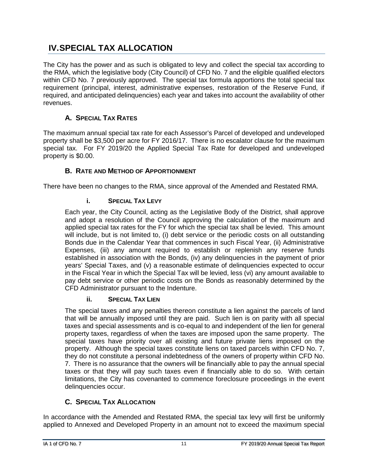## <span id="page-14-0"></span>**IV.SPECIAL TAX ALLOCATION**

The City has the power and as such is obligated to levy and collect the special tax according to the RMA, which the legislative body (City Council) of CFD No. 7 and the eligible qualified electors within CFD No. 7 previously approved. The special tax formula apportions the total special tax requirement (principal, interest, administrative expenses, restoration of the Reserve Fund, if required, and anticipated delinquencies) each year and takes into account the availability of other revenues.

#### **A. SPECIAL TAX RATES**

<span id="page-14-1"></span>The maximum annual special tax rate for each Assessor's Parcel of developed and undeveloped property shall be \$3,500 per acre for FY 2016/17. There is no escalator clause for the maximum special tax. For FY 2019/20 the Applied Special Tax Rate for developed and undeveloped property is \$0.00.

#### **B. RATE AND METHOD OF APPORTIONMENT**

<span id="page-14-3"></span><span id="page-14-2"></span>There have been no changes to the RMA, since approval of the Amended and Restated RMA.

#### **i. SPECIAL TAX LEVY**

Each year, the City Council, acting as the Legislative Body of the District, shall approve and adopt a resolution of the Council approving the calculation of the maximum and applied special tax rates for the FY for which the special tax shall be levied. This amount will include, but is not limited to, (i) debt service or the periodic costs on all outstanding Bonds due in the Calendar Year that commences in such Fiscal Year, (ii) Administrative Expenses, (iii) any amount required to establish or replenish any reserve funds established in association with the Bonds, (iv) any delinquencies in the payment of prior years' Special Taxes, and (v) a reasonable estimate of delinquencies expected to occur in the Fiscal Year in which the Special Tax will be levied, less (vi) any amount available to pay debt service or other periodic costs on the Bonds as reasonably determined by the CFD Administrator pursuant to the Indenture.

#### **ii. SPECIAL TAX LIEN**

<span id="page-14-4"></span>The special taxes and any penalties thereon constitute a lien against the parcels of land that will be annually imposed until they are paid. Such lien is on parity with all special taxes and special assessments and is co-equal to and independent of the lien for general property taxes, regardless of when the taxes are imposed upon the same property. The special taxes have priority over all existing and future private liens imposed on the property. Although the special taxes constitute liens on taxed parcels within CFD No. 7, they do not constitute a personal indebtedness of the owners of property within CFD No. 7. There is no assurance that the owners will be financially able to pay the annual special taxes or that they will pay such taxes even if financially able to do so. With certain limitations, the City has covenanted to commence foreclosure proceedings in the event delinquencies occur.

#### **C. SPECIAL TAX ALLOCATION**

<span id="page-14-5"></span>In accordance with the Amended and Restated RMA, the special tax levy will first be uniformly applied to Annexed and Developed Property in an amount not to exceed the maximum special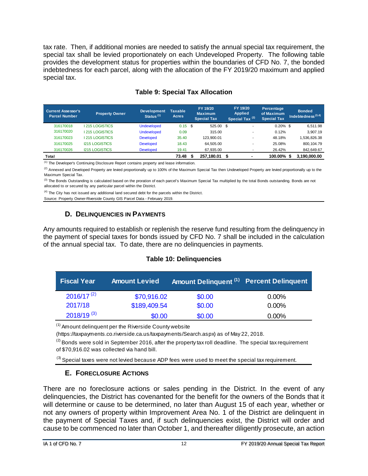tax rate. Then, if additional monies are needed to satisfy the annual special tax requirement, the special tax shall be levied proportionately on each Undeveloped Property. The following table provides the development status for properties within the boundaries of CFD No. 7, the bonded indebtedness for each parcel, along with the allocation of the FY 2019/20 maximum and applied special tax.

<span id="page-15-2"></span>

| <b>Current Assessor's</b><br><b>Parcel Number</b> | <b>Property Owner</b> | <b>Development</b><br>Status $(1)$ | <b>Taxable</b><br><b>Acres</b> | FY 19/20<br><b>Maximum</b><br><b>Special Tax</b> | FY 19/20<br><b>Applied</b><br>Special Tax <sup>(2)</sup> | Percentage<br>of Maximum<br><b>Special Tax</b> | <b>Bonded</b><br>Indebtedness $(3,4)$ |
|---------------------------------------------------|-----------------------|------------------------------------|--------------------------------|--------------------------------------------------|----------------------------------------------------------|------------------------------------------------|---------------------------------------|
| 316170018                                         | <b>1215 LOGISTICS</b> | <b>Undeveloped</b>                 | $0.15$ \$                      | 525.00 \$                                        |                                                          | $0.20\%$ \$                                    | 6.511.98                              |
| 316170020                                         | <b>1215 LOGISTICS</b> | <b>Undeveloped</b>                 | 0.09                           | 315.00                                           |                                                          | 0.12%                                          | 3.907.19                              |
| 316170023                                         | <b>1215 LOGISTICS</b> | <b>Developed</b>                   | 35.40                          | 123.900.01                                       |                                                          | 48.18%                                         | 1.536.826.38                          |
| 316170025                                         | <b>I215 LOGISTICS</b> | <b>Developed</b>                   | 18.43                          | 64.505.00                                        |                                                          | 25.08%                                         | 800.104.79                            |
| 316170026                                         | <b>I215 LOGISTICS</b> | <b>Developed</b>                   | 19.41                          | 67,935.00                                        |                                                          | 26.42%                                         | 842,649.67                            |
| Total                                             |                       |                                    | 73.48                          | 257.180.01                                       |                                                          | 100.00% \$                                     | 3.190.000.00                          |

#### **Table 9: Special Tax Allocation**

(1) The Developer's Continuing Disclosure Report contains property and lease information.

<sup>(2)</sup> Annexed and Developed Property are levied proportionally up to 100% of the Maximum Special Tax then Undeveloped Property are levied proportionally up to the Maximum Special Tax.

<sup>(3)</sup> The Bonds Outstanding is calculated based on the proration of each parcel's Maximum Special Tax multiplied by the total Bonds outstanding. Bonds are not allocated to or secured by any particular parcel within the District.

<sup>(4)</sup> The City has not issued any additional land secured debt for the parcels within the District.

<span id="page-15-0"></span>Source: Property Owner-Riverside County GIS Parcel Data - February 2019.

#### **D. DELINQUENCIES IN PAYMENTS**

Any amounts required to establish or replenish the reserve fund resulting from the delinquency in the payment of special taxes for bonds issued by CFD No. 7 shall be included in the calculation of the annual special tax. To date, there are no delinquencies in payments.

#### **Table 10: Delinquencies**

<span id="page-15-3"></span>

| <b>Fiscal Year</b> | <b>Amount Levied</b> | Amount Delinquent (1) Percent Delinquent |          |
|--------------------|----------------------|------------------------------------------|----------|
| $2016/17^{(2)}$    | \$70,916.02          | \$0.00                                   | $0.00\%$ |
| 2017/18            | \$189,409.54         | \$0.00                                   | 0.00%    |
| $2018/19^{(3)}$    | \$0.00               | \$0.00                                   | 0.00%    |

 $<sup>(1)</sup>$  Amount delinguent per the Riverside County website</sup>

(https://taxpayments.co.riverside.ca.us/taxpayments/Search.aspx) as of May 22, 2018.

 $^{(2)}$  Bonds were sold in September 2016, after the property tax roll deadline. The special tax requirement of \$70,916.02 was collected via hand bill.

<span id="page-15-1"></span> $<sup>(3)</sup>$  Special taxes were not levied because ADP fees were used to meet the special tax requirement.</sup>

#### **E. FORECLOSURE ACTIONS**

There are no foreclosure actions or sales pending in the District. In the event of any delinquencies, the District has covenanted for the benefit for the owners of the Bonds that it will determine or cause to be determined, no later than August 15 of each year, whether or not any owners of property within Improvement Area No. 1 of the District are delinquent in the payment of Special Taxes and, if such delinquencies exist, the District will order and cause to be commenced no later than October 1, and thereafter diligently prosecute, an action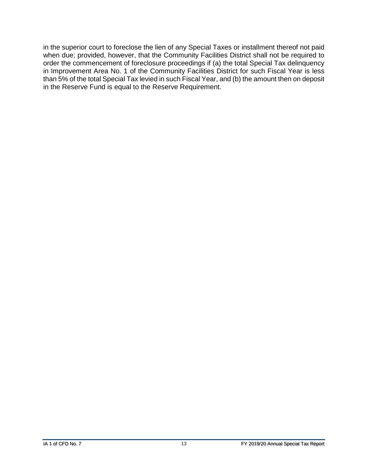in the superior court to foreclose the lien of any Special Taxes or installment thereof not paid when due; provided, however, that the Community Facilities District shall not be required to order the commencement of foreclosure proceedings if (a) the total Special Tax delinquency in Improvement Area No. 1 of the Community Facilities District for such Fiscal Year is less than 5% of the total Special Tax levied in such Fiscal Year, and (b) the amount then on deposit in the Reserve Fund is equal to the Reserve Requirement.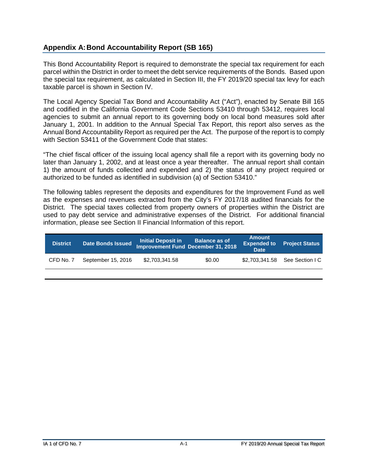#### <span id="page-17-0"></span>**Appendix A:Bond Accountability Report (SB 165)**

This Bond Accountability Report is required to demonstrate the special tax requirement for each parcel within the District in order to meet the debt service requirements of the Bonds. Based upon the special tax requirement, as calculated in Section III, the FY 2019/20 special tax levy for each taxable parcel is shown in Section IV.

The Local Agency Special Tax Bond and Accountability Act ("Act"), enacted by Senate Bill 165 and codified in the California Government Code Sections 53410 through 53412, requires local agencies to submit an annual report to its governing body on local bond measures sold after January 1, 2001. In addition to the Annual Special Tax Report, this report also serves as the Annual Bond Accountability Report as required per the Act. The purpose of the report is to comply with Section 53411 of the Government Code that states:

"The chief fiscal officer of the issuing local agency shall file a report with its governing body no later than January 1, 2002, and at least once a year thereafter. The annual report shall contain 1) the amount of funds collected and expended and 2) the status of any project required or authorized to be funded as identified in subdivision (a) of Section 53410."

The following tables represent the deposits and expenditures for the Improvement Fund as well as the expenses and revenues extracted from the City's FY 2017/18 audited financials for the District. The special taxes collected from property owners of properties within the District are used to pay debt service and administrative expenses of the District. For additional financial information, please see Section II Financial Information of this report.

| <b>District</b> | <b>Date Bonds Issued</b> | <b>Initial Deposit in</b> | Balance as of<br><b>Improvement Fund December 31, 2018</b> | <b>Amount</b><br><b>Expended to</b><br><b>Date</b> | <b>Project Status</b>          |
|-----------------|--------------------------|---------------------------|------------------------------------------------------------|----------------------------------------------------|--------------------------------|
| CFD No. 7       | September 15, 2016       | \$2,703,341.58            | \$0.00                                                     |                                                    | \$2.703.341.58 See Section I C |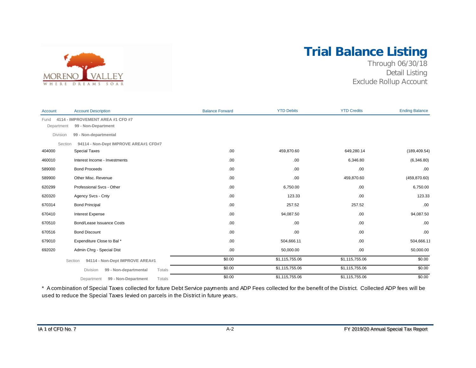

## **Trial Balance Listing**

Through 06/30/18 Detail Listing Exclude Rollup Account

| <b>Account</b>     | <b>Account Description</b>                               | <b>Balance Forward</b> | <b>YTD Debits</b> | <b>YTD Credits</b> | <b>Ending Balance</b> |
|--------------------|----------------------------------------------------------|------------------------|-------------------|--------------------|-----------------------|
| Fund<br>Department | 4114 - IMPROVEMENT AREA #1 CFD #7<br>99 - Non-Department |                        |                   |                    |                       |
| Division           | 99 - Non-departmental                                    |                        |                   |                    |                       |
| Section            | 94114 - Non-Dept IMPROVE AREA#1 CFD#7                    |                        |                   |                    |                       |
| 404000             | <b>Special Taxes</b>                                     | .00                    | 459,870.60        | 649,280.14         | (189, 409.54)         |
| 460010             | Interest Income - Investments                            | .00                    | .00               | 6,346.80           | (6,346.80)            |
| 589000             | <b>Bond Proceeds</b>                                     | .00                    | .00               | .00                | .00                   |
| 589900             | Other Misc. Revenue                                      | .00                    | .00               | 459,870.60         | (459, 870.60)         |
| 620299             | Professional Svcs - Other                                | .00                    | 6,750.00          | .00.               | 6,750.00              |
| 620320             | Agency Svcs - Cnty                                       | .00                    | 123.33            | .00                | 123.33                |
| 670314             | <b>Bond Principal</b>                                    | .00                    | 257.52            | 257.52             | .00                   |
| 670410             | <b>Interest Expense</b>                                  | .00                    | 94,087.50         | .00.               | 94,087.50             |
| 670510             | Bond/Lease Issuance Costs                                | .00                    | .00               | .00.               | .00                   |
| 670516             | <b>Bond Discount</b>                                     | .00                    | .00               | .00.               | .00                   |
| 679010             | Expenditure Close to Bal*                                | .00                    | 504,666.11        | .00.               | 504,666.11            |
| 692020             | Admin Chrg - Special Dist                                | .00                    | 50,000.00         | .00                | 50,000.00             |
|                    | 94114 - Non-Dept IMPROVE AREA#1<br>Section               | \$0.00                 | \$1,115,755.06    | \$1,115,755.06     | \$0.00                |
|                    | Totals<br>Division<br>99 - Non-departmental              | \$0.00                 | \$1,115,755.06    | \$1,115,755.06     | \$0.00                |
|                    | Totals<br>99 - Non-Department<br>Department              | \$0.00                 | \$1,115,755.06    | \$1,115,755.06     | \$0.00                |

\* A combination of Special Taxes collected for future Debt Service payments and ADP Fees collected for the benefit of the District. Collected ADP fees will be used to reduce the Special Taxes levied on parcels in the District in future years.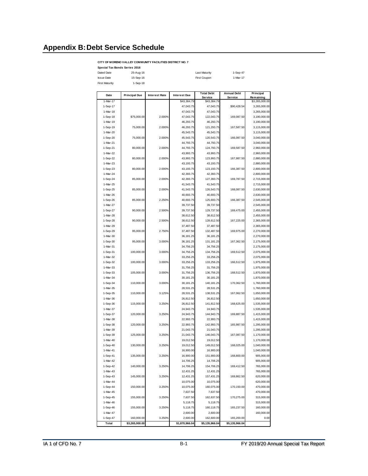#### <span id="page-19-0"></span>**Appendix B:Debt Service Schedule**

#### **CITY OF MORENO VALLEY COMMUNITY FACILITIES DISTRICT NO. 7**

| Special Tax Bonds Series 2016 |           |                      |          |
|-------------------------------|-----------|----------------------|----------|
| Dated Date                    | 25-Aug-16 | <b>Last Maturity</b> | 1-Sep-47 |
| <b>Issue Date</b>             | 15-Sep-16 | First Coupon         | 1-Mar-17 |
| First Maturity                | 1-Sep-18  |                      |          |
|                               |           |                      |          |

| Date     | <b>Principal Due</b> | <b>Interest Rate</b> | <b>Interest Due</b> | <b>Total Debt</b><br><b>Service</b> | <b>Annual Debt</b><br>Service | Principal<br>Remaining |
|----------|----------------------|----------------------|---------------------|-------------------------------------|-------------------------------|------------------------|
| 1-Mar-17 |                      |                      | \$43,384.79         | \$43,384.79                         |                               | \$3,265,000.00         |
| 1-Sep-17 |                      |                      | 47,043.75           | 47,043.75                           | \$90,428.54                   | 3,265,000.00           |
| 1-Mar-18 |                      |                      | 47,043.75           | 47,043.75                           |                               | 3,265,000.00           |
| 1-Sep-18 | \$75,000.00          | 2.000%               | 47,043.75           | 122,043.75                          | 169,087.50                    | 3,190,000.00           |
| 1-Mar-19 |                      |                      | 46,293.75           | 46,293.75                           |                               | 3,190,000.00           |
| 1-Sep-19 | 75,000.00            | 2.000%               | 46,293.75           | 121,293.75                          | 167,587.50                    | 3,115,000.00           |
| 1-Mar-20 |                      |                      | 45,543.75           | 45,543.75                           |                               | 3,115,000.00           |
| 1-Sep-20 | 75,000.00            | 2.000%               | 45,543.75           | 120,543.75                          | 166,087.50                    | 3,040,000.00           |
| 1-Mar-21 |                      |                      | 44,793.75           | 44,793.75                           |                               | 3,040,000.00           |
| 1-Sep-21 | 80,000.00            | 2.000%               | 44,793.75           | 124,793.75                          | 169,587.50                    | 2,960,000.00           |
| 1-Mar-22 |                      |                      | 43,993.75           | 43,993.75                           |                               | 2,960,000.00           |
| 1-Sep-22 | 80,000.00            | 2.000%               | 43,993.75           | 123,993.75                          | 167,987.50                    | 2,880,000.00           |
| 1-Mar-23 |                      |                      | 43,193.75           | 43,193.75                           |                               | 2,880,000.00           |
| 1-Sep-23 | 80,000.00            | 2.000%               | 43,193.75           | 123, 193.75                         | 166,387.50                    | 2,800,000.00           |
| 1-Mar-24 |                      |                      | 42,393.75           | 42,393.75                           |                               | 2,800,000.00           |
| 1-Sep-24 | 85.000.00            | 2.000%               | 42,393.75           | 127,393.75                          | 169,787.50                    | 2,715,000.00           |
| 1-Mar-25 |                      |                      | 41,543.75           | 41,543.75                           |                               | 2,715,000.00           |
| 1-Sep-25 | 85,000.00            | 2.000%               | 41,543.75           | 126,543.75                          | 168,087.50                    | 2,630,000.00           |
| 1-Mar-26 |                      |                      | 40,693.75           | 40,693.75                           |                               | 2,630,000.00           |
| 1-Sep-26 | 85,000.00            | 2.250%               | 40,693.75           | 125,693.75                          | 166,387.50                    | 2,545,000.00           |
| 1-Mar-27 |                      |                      | 39,737.50           | 39,737.50                           |                               | 2,545,000.00           |
| 1-Sep-27 | 90,000.00            | 2.500%               | 39,737.50           | 129,737.50                          | 169,475.00                    | 2,455,000.00           |
| 1-Mar-28 |                      |                      | 38,612.50           | 38,612.50                           |                               | 2,455,000.00           |
| 1-Sep-28 | 90.000.00            | 2.500%               | 38.612.50           | 128,612.50                          | 167,225.00                    | 2,365,000.00           |
| 1-Mar-29 |                      |                      | 37,487.50           | 37,487.50                           |                               | 2,365,000.00           |
| 1-Sep-29 | 95,000.00            | 2.750%               | 37,487.50           | 132,487.50                          | 169,975.00                    | 2,270,000.00           |
| 1-Mar-30 |                      |                      | 36,181.25           | 36,181.25                           |                               | 2,270,000.00           |
| 1-Sep-30 | 95,000.00            | 3.000%               | 36.181.25           | 131, 181.25                         | 167,362.50                    | 2,175,000.00           |
| 1-Mar-31 |                      |                      | 34,756.25           | 34,756.25                           |                               | 2,175,000.00           |
| 1-Sep-31 | 100,000.00           | 3.000%               | 34,756.25           | 134,756.25                          | 169,512.50                    | 2,075,000.00           |
| 1-Mar-32 |                      |                      | 33,256.25           | 33,256.25                           |                               | 2,075,000.00           |
| 1-Sep-32 | 100,000.00           | 3.000%               | 33,256.25           | 133,256.25                          | 166.512.50                    | 1,975,000.00           |
| 1-Mar-33 |                      |                      | 31,756.25           | 31,756.25                           |                               | 1,975,000.00           |
| 1-Sep-33 | 105,000.00           | 3.000%               | 31,756.25           | 136,756.25                          | 168,512.50                    | 1,870,000.00           |
| 1-Mar-34 |                      |                      | 30,181.25           | 30,181.25                           |                               | 1,870,000.00           |
| 1-Sep-34 | 110,000.00           | 3.000%               | 30,181.25           | 140, 181.25                         | 170,362.50                    | 1,760,000.00           |
| 1-Mar-35 |                      |                      | 28,531.25           | 28,531.25                           |                               | 1,760,000.00           |
| 1-Sep-35 | 110,000.00           | 3.125%               | 28,531.25           | 138,531.25                          | 167,062.50                    | 1,650,000.00           |
| 1-Mar-36 |                      |                      | 26,812.50           | 26,812.50                           |                               | 1,650,000.00           |
| 1-Sep-36 | 115,000.00           | 3.250%               | 26,812.50           | 141,812.50                          | 168,625.00                    | 1,535,000.00           |
| 1-Mar-37 |                      |                      | 24,943.75           | 24,943.75                           |                               | 1,535,000.00           |
| 1-Sep-37 | 120,000.00           | 3.250%               | 24,943.75           | 144,943.75                          | 169,887.50                    | 1,415,000.00           |
| 1-Mar-38 |                      |                      | 22,993.75           | 22,993.75                           |                               | 1,415,000.00           |
| 1-Sep-38 | 120,000.00           | 3.250%               | 22,993.75           | 142,993.75                          | 165,987.50                    | 1,295,000.00           |
| 1-Mar-39 |                      |                      | 21.043.75           | 21.043.75                           |                               | 1.295.000.00           |
| 1-Sep-39 | 125,000.00           | 3.250%               | 21,043.75           | 146,043.75                          | 167,087.50                    | 1,170,000.00           |
| 1-Mar-40 |                      |                      | 19,012.50           | 19,012.50                           |                               | 1,170,000.00           |
| 1-Sep-40 | 130,000.00           | 3.250%               | 19,012.50           | 149,012.50                          | 168,025.00                    | 1,040,000.00           |
| 1-Mar-41 |                      |                      | 16,900.00           | 16,900.00                           |                               | 1,040,000.00           |
| 1-Sep-41 | 135,000.00           | 3.250%               | 16,900.00           | 151,900.00                          | 168,800.00                    | 905,000.00             |
| 1-Mar-42 |                      |                      | 14,706.25           | 14,706.25                           |                               | 905,000.00             |
| 1-Sep-42 | 140,000.00           | 3.250%               | 14,706.25           | 154,706.25                          | 169,412.50                    | 765,000.00             |
| 1-Mar-43 |                      |                      | 12,431.25           | 12,431.25                           |                               | 765,000.00             |
| 1-Sep-43 | 145,000.00           | 3.250%               | 12,431.25           | 157,431.25                          | 169,862.50                    | 620,000.00             |
| 1-Mar-44 |                      |                      | 10,075.00           | 10,075.00                           |                               | 620,000.00             |
| 1-Sep-44 | 150,000.00           | 3.250%               | 10,075.00           | 160,075.00                          | 170,150.00                    | 470,000.00             |
| 1-Mar-45 |                      |                      | 7,637.50            | 7,637.50                            |                               | 470,000.00             |
| 1-Sep-45 | 155,000.00           | 3.250%               | 7,637.50            | 162,637.50                          | 170,275.00                    | 315,000.00             |
| 1-Mar-46 |                      |                      | 5,118.75            | 5,118.75                            |                               | 315,000.00             |
| 1-Sep-46 | 155,000.00           | 3.250%               | 5,118.75            | 160,118.75                          | 165,237.50                    | 160,000.00             |
| 1-Mar-47 |                      |                      | 2,600.00            | 2,600.00                            |                               | 160,000.00             |
| 1-Sep-47 | 160,000.00           | 3.250%               | 2,600.00            | 162,600.00                          | 165,200.00                    | 0.00                   |
| Total    | \$3,265,000.00       |                      | \$1,870,966.04      | \$5,135,966.04                      | \$5,135,966.04                |                        |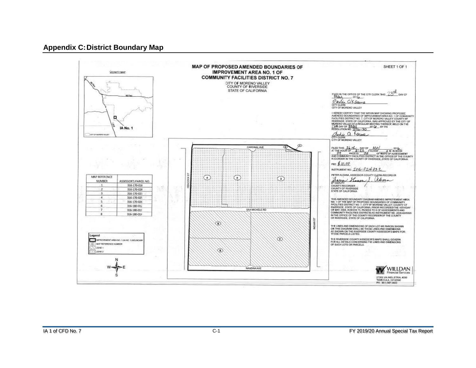#### **Appendix C:District Boundary Map**

<span id="page-20-0"></span>